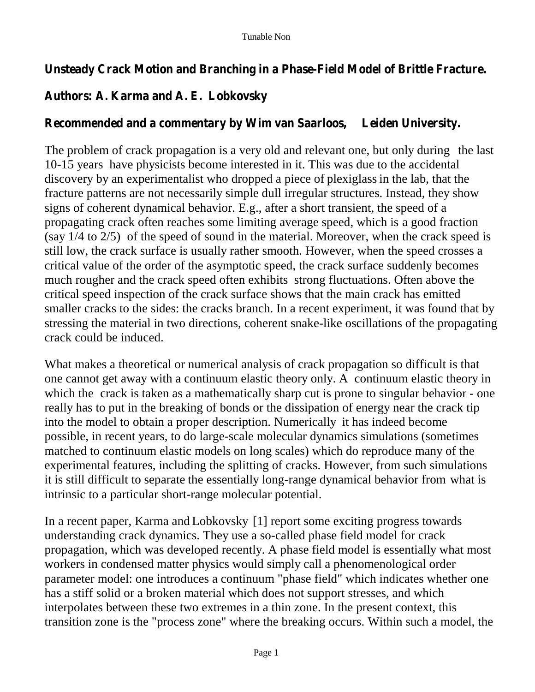## **Unsteady Crack Motion and Branching in a Phase-Field Model of Brittle Fracture.**

## **Authors: A. Karma and A. E. Lobkovsky**

## **Recommended and a commentary by Wim van Saarloos, Leiden University.**

The problem of crack propagation is a very old and relevant one, but only during the last 10-15 years have physicists become interested in it. This was due to the accidental discovery by an experimentalist who dropped a piece of plexiglassin the lab, that the fracture patterns are not necessarily simple dull irregular structures. Instead, they show signs of coherent dynamical behavior. E.g., after a short transient, the speed of a propagating crack often reaches some limiting average speed, which is a good fraction (say 1/4 to 2/5) of the speed of sound in the material. Moreover, when the crack speed is still low, the crack surface is usually rather smooth. However, when the speed crosses a critical value of the order of the asymptotic speed, the crack surface suddenly becomes much rougher and the crack speed often exhibits strong fluctuations. Often above the critical speed inspection of the crack surface shows that the main crack has emitted smaller cracks to the sides: the cracks branch. In a recent experiment, it was found that by stressing the material in two directions, coherent snake-like oscillations of the propagating crack could be induced.

What makes a theoretical or numerical analysis of crack propagation so difficult is that one cannot get away with a continuum elastic theory only. A continuum elastic theory in which the crack is taken as a mathematically sharp cut is prone to singular behavior - one really has to put in the breaking of bonds or the dissipation of energy near the crack tip into the model to obtain a proper description. Numerically it has indeed become possible, in recent years, to do large-scale molecular dynamics simulations (sometimes matched to continuum elastic models on long scales) which do reproduce many of the experimental features, including the splitting of cracks. However, from such simulations it is still difficult to separate the essentially long-range dynamical behavior from what is intrinsic to a particular short-range molecular potential.

In a recent paper, Karma and Lobkovsky [1] report some exciting progress towards understanding crack dynamics. They use a so-called phase field model for crack propagation, which was developed recently. A phase field model is essentially what most workers in condensed matter physics would simply call a phenomenological order parameter model: one introduces a continuum "phase field" which indicates whether one has a stiff solid or a broken material which does not support stresses, and which interpolates between these two extremes in a thin zone. In the present context, this transition zone is the "process zone" where the breaking occurs. Within such a model, the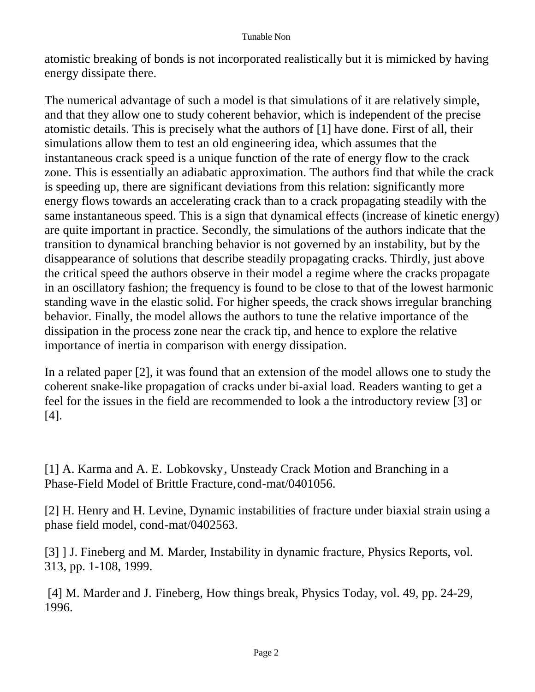atomistic breaking of bonds is not incorporated realistically but it is mimicked by having energy dissipate there.

The numerical advantage of such a model is that simulations of it are relatively simple, and that they allow one to study coherent behavior, which is independent of the precise atomistic details. This is precisely what the authors of [1] have done. First of all, their simulations allow them to test an old engineering idea, which assumes that the instantaneous crack speed is a unique function of the rate of energy flow to the crack zone. This is essentially an adiabatic approximation. The authors find that while the crack is speeding up, there are significant deviations from this relation: significantly more energy flows towards an accelerating crack than to a crack propagating steadily with the same instantaneous speed. This is a sign that dynamical effects (increase of kinetic energy) are quite important in practice. Secondly, the simulations of the authors indicate that the transition to dynamical branching behavior is not governed by an instability, but by the disappearance of solutions that describe steadily propagating cracks. Thirdly, just above the critical speed the authors observe in their model a regime where the cracks propagate in an oscillatory fashion; the frequency is found to be close to that of the lowest harmonic standing wave in the elastic solid. For higher speeds, the crack shows irregular branching behavior. Finally, the model allows the authors to tune the relative importance of the dissipation in the process zone near the crack tip, and hence to explore the relative importance of inertia in comparison with energy dissipation.

In a related paper [2], it was found that an extension of the model allows one to study the coherent snake-like propagation of cracks under bi-axial load. Readers wanting to get a feel for the issues in the field are recommended to look a the introductory review [3] or [4].

[1] A. Karma and A. E. Lobkovsky, Unsteady Crack Motion and Branching in a Phase-Field Model of Brittle Fracture, cond-mat/0401056.

[2] H. Henry and H. Levine, Dynamic instabilities of fracture under biaxial strain using a phase field model, cond-mat/0402563.

[3] ] J. Fineberg and M. Marder, Instability in dynamic fracture, Physics Reports, vol. 313, pp. 1-108, 1999.

[4] M. Marder and J. Fineberg, How things break, Physics Today, vol. 49, pp. 24-29, 1996.